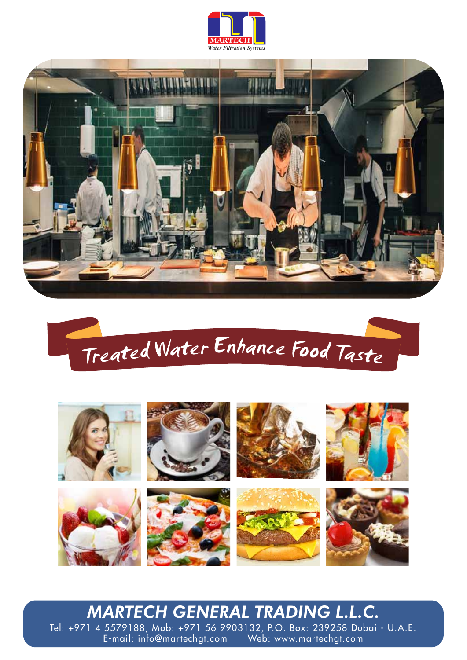







*MARTECH GENERAL TRADING L.L.C.* Tel: +971 4 5579188, Mob: +971 56 9903132, P.O. Box: 239258 Dubai - U.A.E. E-mail: info@martechgt.com Web: www.martechgt.com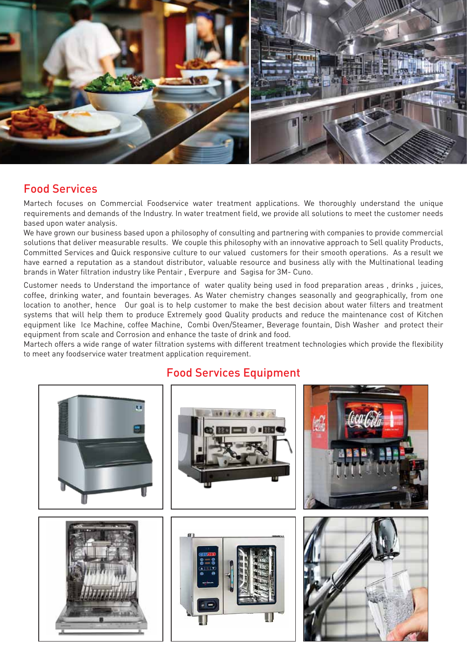

#### Food Services

Martech focuses on Commercial Foodservice water treatment applications. We thoroughly understand the unique requirements and demands of the Industry. In water treatment field, we provide all solutions to meet the customer needs based upon water analysis.

We have grown our business based upon a philosophy of consulting and partnering with companies to provide commercial solutions that deliver measurable results. We couple this philosophy with an innovative approach to Sell quality Products, Committed Services and Quick responsive culture to our valued customers for their smooth operations. As a result we have earned a reputation as a standout distributor, valuable resource and business ally with the Multinational leading brands in Water filtration industry like Pentair , Everpure and Sagisa for 3M- Cuno.

Customer needs to Understand the importance of water quality being used in food preparation areas , drinks , juices, coffee, drinking water, and fountain beverages. As Water chemistry changes seasonally and geographically, from one location to another, hence Our goal is to help customer to make the best decision about water filters and treatment systems that will help them to produce Extremely good Quality products and reduce the maintenance cost of Kitchen equipment like Ice Machine, coffee Machine, Combi Oven/Steamer, Beverage fountain, Dish Washer and protect their equipment from scale and Corrosion and enhance the taste of drink and food.

Martech offers a wide range of water filtration systems with different treatment technologies which provide the flexibility to meet any foodservice water treatment application requirement.

## Food Services Equipment

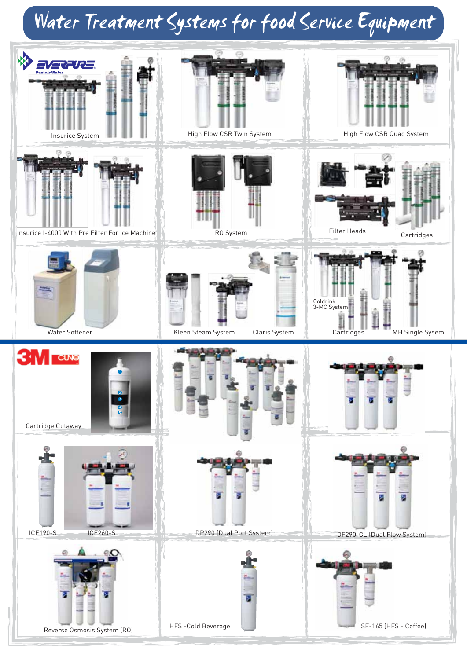# Water Treatment Systems for food Service Equipment